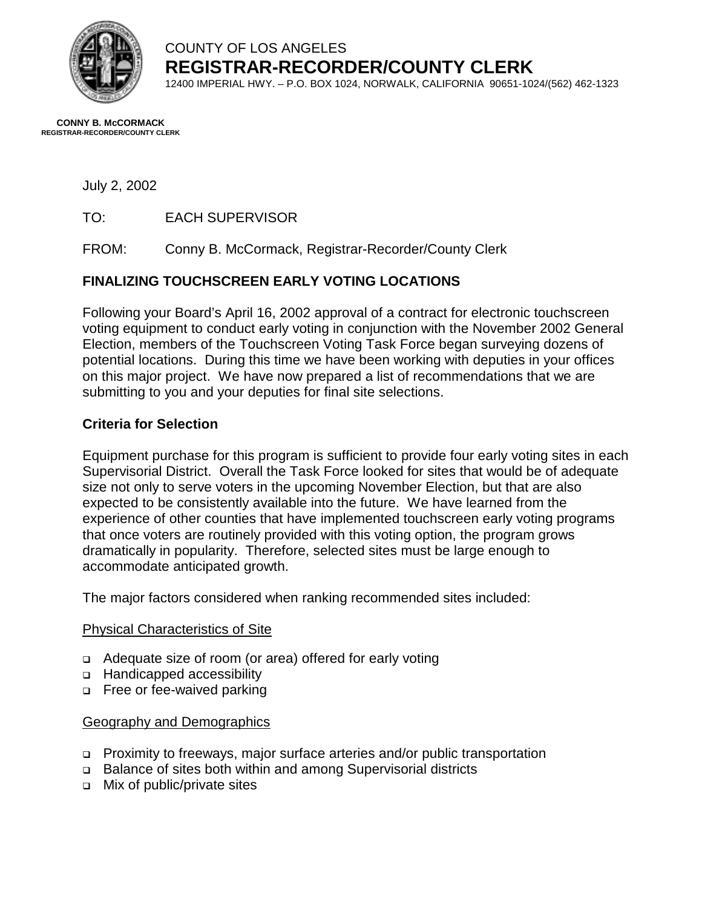

COUNTY OF LOS ANGELES **REGISTRAR-RECORDER/COUNTY CLERK** 12400 IMPERIAL HWY. – P.O. BOX 1024, NORWALK, CALIFORNIA 90651-1024/(562) 462-1323

**CONNY B. McCORMACK REGISTRAR-RECORDER/COUNTY CLERK** 

### July 2, 2002

TO: EACH SUPERVISOR

FROM: Conny B. McCormack, Registrar-Recorder/County Clerk

# **FINALIZING TOUCHSCREEN EARLY VOTING LOCATIONS**

Following your Board's April 16, 2002 approval of a contract for electronic touchscreen voting equipment to conduct early voting in conjunction with the November 2002 General Election, members of the Touchscreen Voting Task Force began surveying dozens of potential locations. During this time we have been working with deputies in your offices on this major project. We have now prepared a list of recommendations that we are submitting to you and your deputies for final site selections.

## **Criteria for Selection**

Equipment purchase for this program is sufficient to provide four early voting sites in each Supervisorial District. Overall the Task Force looked for sites that would be of adequate size not only to serve voters in the upcoming November Election, but that are also expected to be consistently available into the future. We have learned from the experience of other counties that have implemented touchscreen early voting programs that once voters are routinely provided with this voting option, the program grows dramatically in popularity. Therefore, selected sites must be large enough to accommodate anticipated growth.

The major factors considered when ranking recommended sites included:

#### Physical Characteristics of Site

- □ Adequate size of room (or area) offered for early voting
- o Handicapped accessibility
- □ Free or fee-waived parking

#### Geography and Demographics

- ! Proximity to freeways, major surface arteries and/or public transportation
- □ Balance of sites both within and among Supervisorial districts
- □ Mix of public/private sites